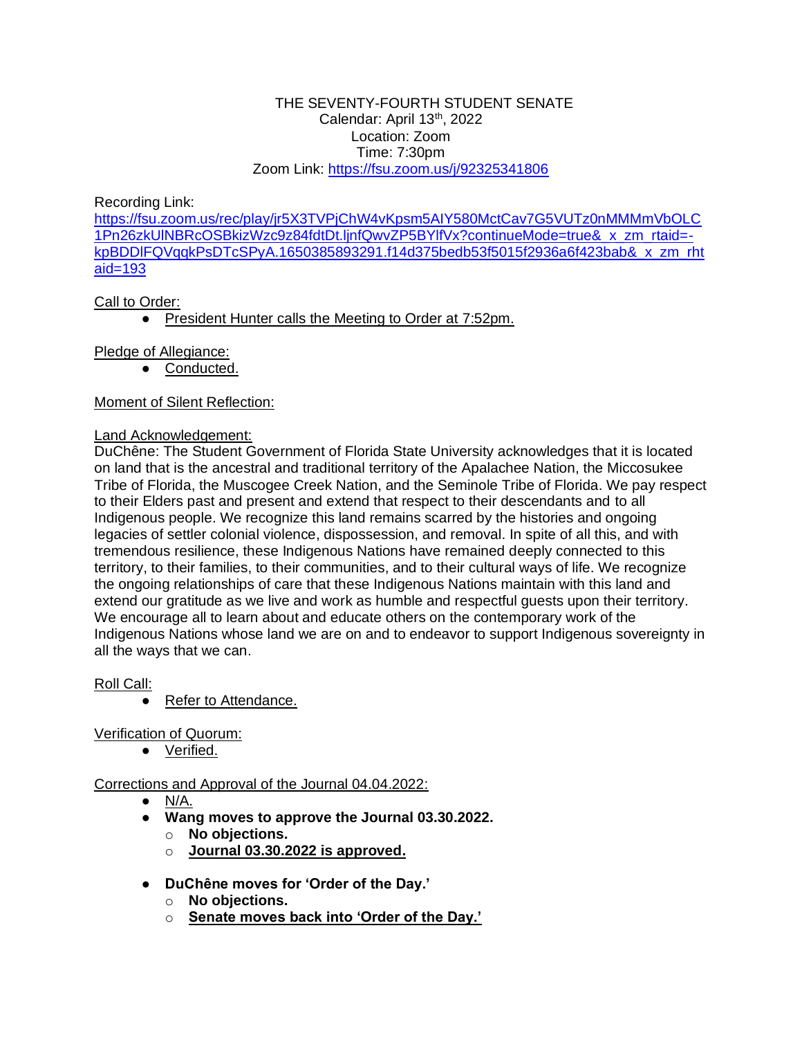### THE SEVENTY-FOURTH STUDENT SENATE Calendar: April 13<sup>th</sup>, 2022 Location: Zoom Time: 7:30pm Zoom Link:<https://fsu.zoom.us/j/92325341806>

Recording Link:

[https://fsu.zoom.us/rec/play/jr5X3TVPjChW4vKpsm5AIY580MctCav7G5VUTz0nMMMmVbOLC](https://fsu.zoom.us/rec/play/jr5X3TVPjChW4vKpsm5AIY580MctCav7G5VUTz0nMMMmVbOLC1Pn26zkUlNBRcOSBkizWzc9z84fdtDt.ljnfQwvZP5BYlfVx?continueMode=true&_x_zm_rtaid=-kpBDDlFQVqqkPsDTcSPyA.1650385893291.f14d375bedb53f5015f2936a6f423bab&_x_zm_rhtaid=193) [1Pn26zkUlNBRcOSBkizWzc9z84fdtDt.ljnfQwvZP5BYlfVx?continueMode=true&\\_x\\_zm\\_rtaid=](https://fsu.zoom.us/rec/play/jr5X3TVPjChW4vKpsm5AIY580MctCav7G5VUTz0nMMMmVbOLC1Pn26zkUlNBRcOSBkizWzc9z84fdtDt.ljnfQwvZP5BYlfVx?continueMode=true&_x_zm_rtaid=-kpBDDlFQVqqkPsDTcSPyA.1650385893291.f14d375bedb53f5015f2936a6f423bab&_x_zm_rhtaid=193) [kpBDDlFQVqqkPsDTcSPyA.1650385893291.f14d375bedb53f5015f2936a6f423bab&\\_x\\_zm\\_rht](https://fsu.zoom.us/rec/play/jr5X3TVPjChW4vKpsm5AIY580MctCav7G5VUTz0nMMMmVbOLC1Pn26zkUlNBRcOSBkizWzc9z84fdtDt.ljnfQwvZP5BYlfVx?continueMode=true&_x_zm_rtaid=-kpBDDlFQVqqkPsDTcSPyA.1650385893291.f14d375bedb53f5015f2936a6f423bab&_x_zm_rhtaid=193) [aid=193](https://fsu.zoom.us/rec/play/jr5X3TVPjChW4vKpsm5AIY580MctCav7G5VUTz0nMMMmVbOLC1Pn26zkUlNBRcOSBkizWzc9z84fdtDt.ljnfQwvZP5BYlfVx?continueMode=true&_x_zm_rtaid=-kpBDDlFQVqqkPsDTcSPyA.1650385893291.f14d375bedb53f5015f2936a6f423bab&_x_zm_rhtaid=193)

# Call to Order:

● President Hunter calls the Meeting to Order at 7:52pm.

# Pledge of Allegiance:

● Conducted.

# Moment of Silent Reflection:

## Land Acknowledgement:

DuChêne: The Student Government of Florida State University acknowledges that it is located on land that is the ancestral and traditional territory of the Apalachee Nation, the Miccosukee Tribe of Florida, the Muscogee Creek Nation, and the Seminole Tribe of Florida. We pay respect to their Elders past and present and extend that respect to their descendants and to all Indigenous people. We recognize this land remains scarred by the histories and ongoing legacies of settler colonial violence, dispossession, and removal. In spite of all this, and with tremendous resilience, these Indigenous Nations have remained deeply connected to this territory, to their families, to their communities, and to their cultural ways of life. We recognize the ongoing relationships of care that these Indigenous Nations maintain with this land and extend our gratitude as we live and work as humble and respectful guests upon their territory. We encourage all to learn about and educate others on the contemporary work of the Indigenous Nations whose land we are on and to endeavor to support Indigenous sovereignty in all the ways that we can.

# Roll Call:

● Refer to Attendance.

Verification of Quorum:

● Verified.

# Corrections and Approval of the Journal 04.04.2022:

- $\bullet$  N/A.
- **Wang moves to approve the Journal 03.30.2022.**
	- o **No objections.**
		- o **Journal 03.30.2022 is approved.**
- **DuChêne moves for 'Order of the Day.'**
	- o **No objections.**
	- o **Senate moves back into 'Order of the Day.'**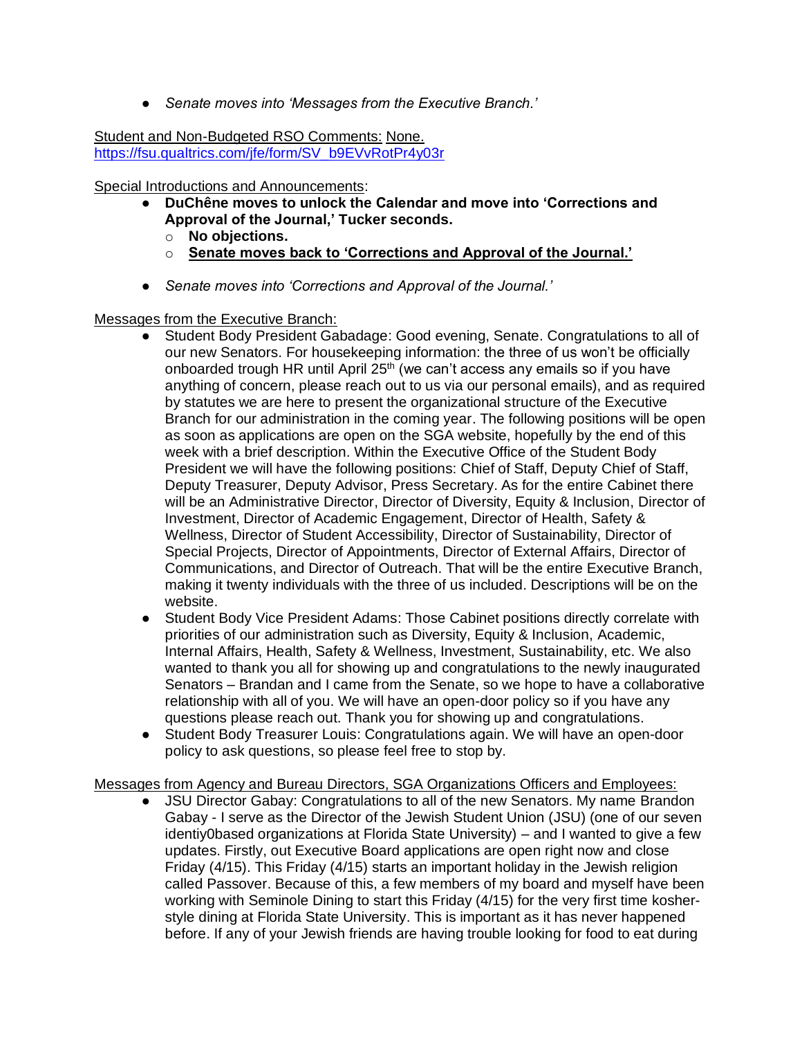● *Senate moves into 'Messages from the Executive Branch.'*

Student and Non-Budgeted RSO Comments: None. [https://fsu.qualtrics.com/jfe/form/SV\\_b9EVvRotPr4y03r](https://fsu.qualtrics.com/jfe/form/SV_b9EVvRotPr4y03r)

Special Introductions and Announcements:

- **DuChêne moves to unlock the Calendar and move into 'Corrections and Approval of the Journal,' Tucker seconds.**
	- o **No objections.**
	- o **Senate moves back to 'Corrections and Approval of the Journal.'**
- *Senate moves into 'Corrections and Approval of the Journal.'*

Messages from the Executive Branch:

- Student Body President Gabadage: Good evening, Senate. Congratulations to all of our new Senators. For housekeeping information: the three of us won't be officially onboarded trough HR until April  $25<sup>th</sup>$  (we can't access any emails so if you have anything of concern, please reach out to us via our personal emails), and as required by statutes we are here to present the organizational structure of the Executive Branch for our administration in the coming year. The following positions will be open as soon as applications are open on the SGA website, hopefully by the end of this week with a brief description. Within the Executive Office of the Student Body President we will have the following positions: Chief of Staff, Deputy Chief of Staff, Deputy Treasurer, Deputy Advisor, Press Secretary. As for the entire Cabinet there will be an Administrative Director, Director of Diversity, Equity & Inclusion, Director of Investment, Director of Academic Engagement, Director of Health, Safety & Wellness, Director of Student Accessibility, Director of Sustainability, Director of Special Projects, Director of Appointments, Director of External Affairs, Director of Communications, and Director of Outreach. That will be the entire Executive Branch, making it twenty individuals with the three of us included. Descriptions will be on the website.
- Student Body Vice President Adams: Those Cabinet positions directly correlate with priorities of our administration such as Diversity, Equity & Inclusion, Academic, Internal Affairs, Health, Safety & Wellness, Investment, Sustainability, etc. We also wanted to thank you all for showing up and congratulations to the newly inaugurated Senators – Brandan and I came from the Senate, so we hope to have a collaborative relationship with all of you. We will have an open-door policy so if you have any questions please reach out. Thank you for showing up and congratulations.
- Student Body Treasurer Louis: Congratulations again. We will have an open-door policy to ask questions, so please feel free to stop by.

## Messages from Agency and Bureau Directors, SGA Organizations Officers and Employees:

● JSU Director Gabay: Congratulations to all of the new Senators. My name Brandon Gabay - I serve as the Director of the Jewish Student Union (JSU) (one of our seven identiy0based organizations at Florida State University) – and I wanted to give a few updates. Firstly, out Executive Board applications are open right now and close Friday (4/15). This Friday (4/15) starts an important holiday in the Jewish religion called Passover. Because of this, a few members of my board and myself have been working with Seminole Dining to start this Friday (4/15) for the very first time kosherstyle dining at Florida State University. This is important as it has never happened before. If any of your Jewish friends are having trouble looking for food to eat during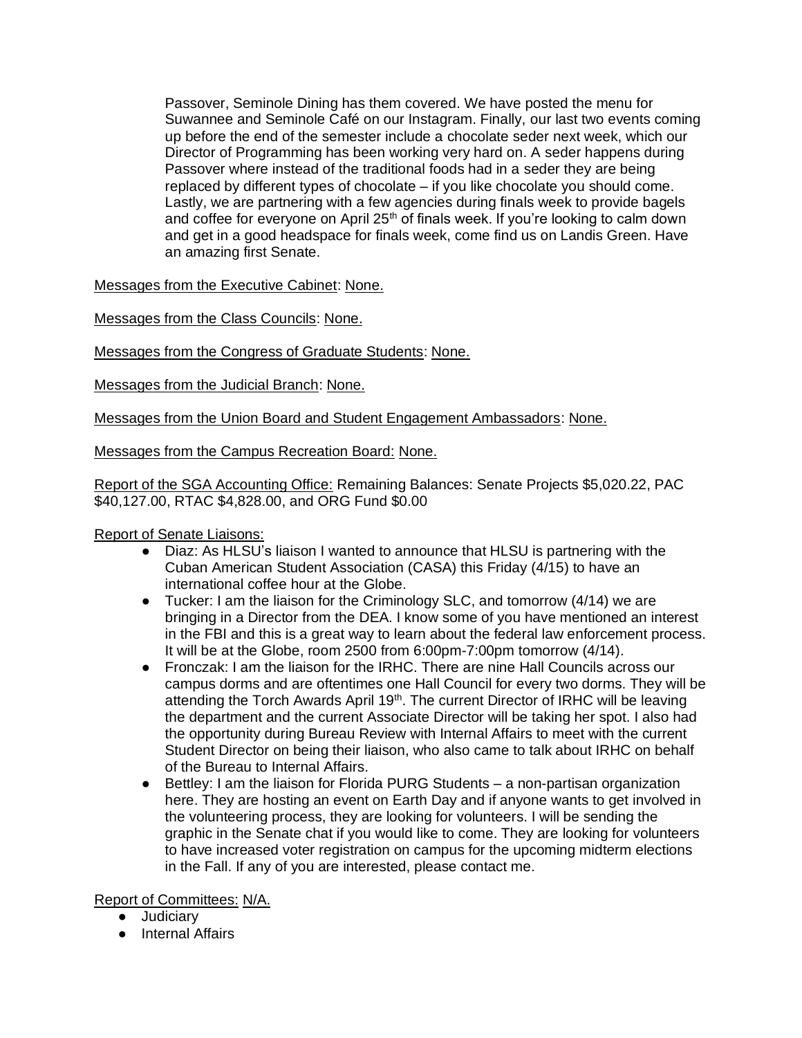Passover, Seminole Dining has them covered. We have posted the menu for Suwannee and Seminole Café on our Instagram. Finally, our last two events coming up before the end of the semester include a chocolate seder next week, which our Director of Programming has been working very hard on. A seder happens during Passover where instead of the traditional foods had in a seder they are being replaced by different types of chocolate – if you like chocolate you should come. Lastly, we are partnering with a few agencies during finals week to provide bagels and coffee for everyone on April  $25<sup>th</sup>$  of finals week. If you're looking to calm down and get in a good headspace for finals week, come find us on Landis Green. Have an amazing first Senate.

Messages from the Executive Cabinet: None.

Messages from the Class Councils: None.

Messages from the Congress of Graduate Students: None.

Messages from the Judicial Branch: None.

Messages from the Union Board and Student Engagement Ambassadors: None.

Messages from the Campus Recreation Board: None.

Report of the SGA Accounting Office: Remaining Balances: Senate Projects \$5,020.22, PAC \$40,127.00, RTAC \$4,828.00, and ORG Fund \$0.00

Report of Senate Liaisons:

- Diaz: As HLSU's liaison I wanted to announce that HLSU is partnering with the Cuban American Student Association (CASA) this Friday (4/15) to have an international coffee hour at the Globe.
- $\bullet$  Tucker: I am the liaison for the Criminology SLC, and tomorrow (4/14) we are bringing in a Director from the DEA. I know some of you have mentioned an interest in the FBI and this is a great way to learn about the federal law enforcement process. It will be at the Globe, room 2500 from 6:00pm-7:00pm tomorrow (4/14).
- Fronczak: I am the liaison for the IRHC. There are nine Hall Councils across our campus dorms and are oftentimes one Hall Council for every two dorms. They will be attending the Torch Awards April 19<sup>th</sup>. The current Director of IRHC will be leaving the department and the current Associate Director will be taking her spot. I also had the opportunity during Bureau Review with Internal Affairs to meet with the current Student Director on being their liaison, who also came to talk about IRHC on behalf of the Bureau to Internal Affairs.
- Bettley: I am the liaison for Florida PURG Students a non-partisan organization here. They are hosting an event on Earth Day and if anyone wants to get involved in the volunteering process, they are looking for volunteers. I will be sending the graphic in the Senate chat if you would like to come. They are looking for volunteers to have increased voter registration on campus for the upcoming midterm elections in the Fall. If any of you are interested, please contact me.

Report of Committees: N/A.

- Judiciary
- Internal Affairs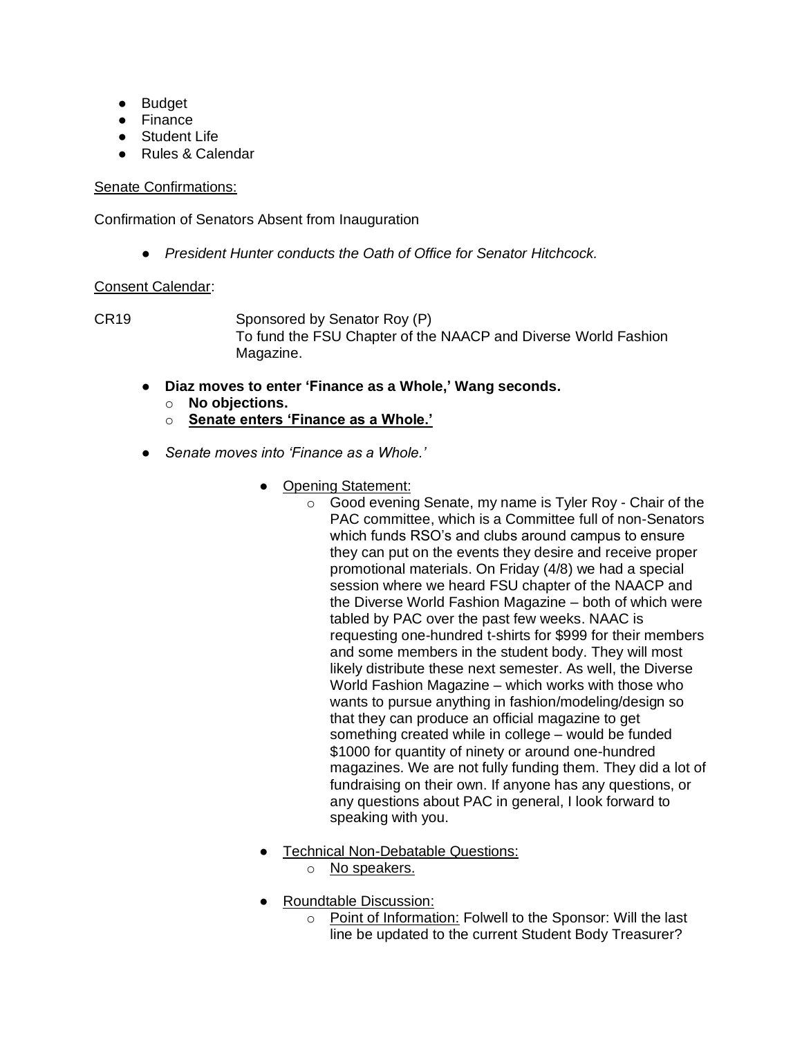- Budget
- Finance
- Student Life
- Rules & Calendar

## Senate Confirmations:

Confirmation of Senators Absent from Inauguration

● *President Hunter conducts the Oath of Office for Senator Hitchcock.*

# Consent Calendar:

CR19 Sponsored by Senator Roy (P) To fund the FSU Chapter of the NAACP and Diverse World Fashion Magazine.

- **Diaz moves to enter 'Finance as a Whole,' Wang seconds.**
	- o **No objections.**
	- o **Senate enters 'Finance as a Whole.'**
- *Senate moves into 'Finance as a Whole.'*
	- Opening Statement:
		- o Good evening Senate, my name is Tyler Roy Chair of the PAC committee, which is a Committee full of non-Senators which funds RSO's and clubs around campus to ensure they can put on the events they desire and receive proper promotional materials. On Friday (4/8) we had a special session where we heard FSU chapter of the NAACP and the Diverse World Fashion Magazine – both of which were tabled by PAC over the past few weeks. NAAC is requesting one-hundred t-shirts for \$999 for their members and some members in the student body. They will most likely distribute these next semester. As well, the Diverse World Fashion Magazine – which works with those who wants to pursue anything in fashion/modeling/design so that they can produce an official magazine to get something created while in college – would be funded \$1000 for quantity of ninety or around one-hundred magazines. We are not fully funding them. They did a lot of fundraising on their own. If anyone has any questions, or any questions about PAC in general, I look forward to speaking with you.
	- Technical Non-Debatable Questions:
		- o No speakers.
	- Roundtable Discussion:
		- o Point of Information: Folwell to the Sponsor: Will the last line be updated to the current Student Body Treasurer?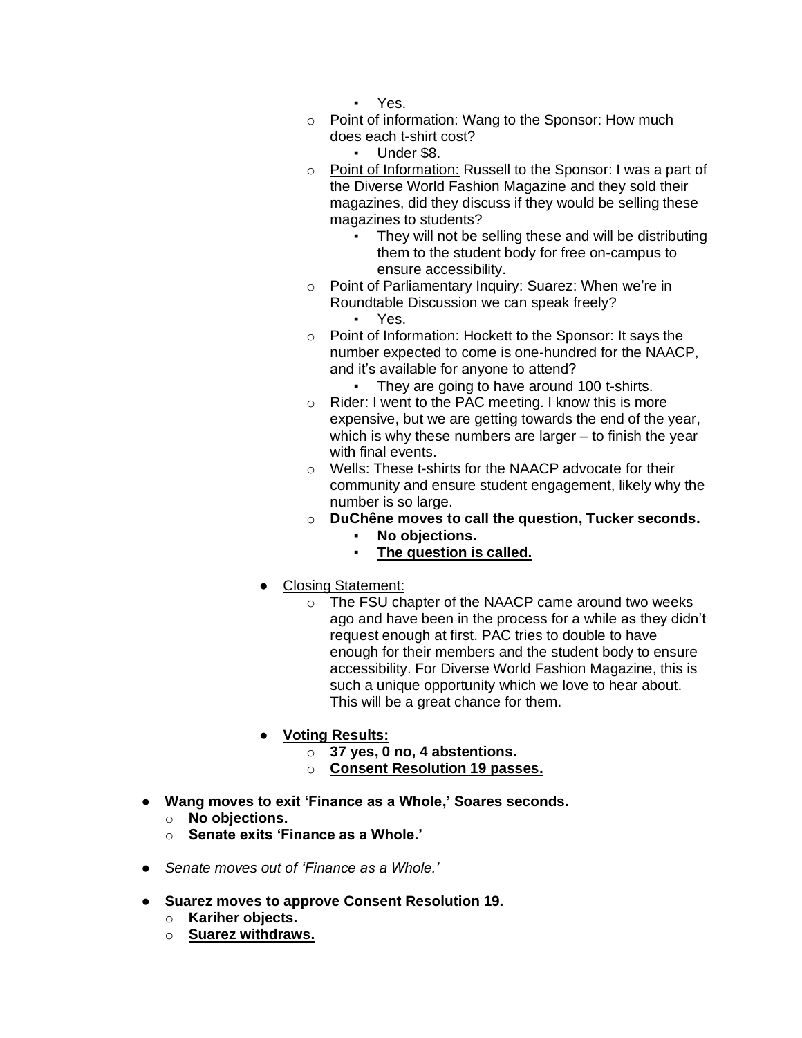- Yes.
- o Point of information: Wang to the Sponsor: How much does each t-shirt cost?
	- Under \$8.
- o Point of Information: Russell to the Sponsor: I was a part of the Diverse World Fashion Magazine and they sold their magazines, did they discuss if they would be selling these magazines to students?
	- They will not be selling these and will be distributing them to the student body for free on-campus to ensure accessibility.
- o Point of Parliamentary Inquiry: Suarez: When we're in Roundtable Discussion we can speak freely? ▪ Yes.
- o Point of Information: Hockett to the Sponsor: It says the number expected to come is one-hundred for the NAACP, and it's available for anyone to attend?
	- They are going to have around 100 t-shirts.
- o Rider: I went to the PAC meeting. I know this is more expensive, but we are getting towards the end of the year, which is why these numbers are larger – to finish the year with final events.
- o Wells: These t-shirts for the NAACP advocate for their community and ensure student engagement, likely why the number is so large.
- o **DuChêne moves to call the question, Tucker seconds.**
	- **No objections.**
	- **The question is called.**
- **Closing Statement:** 
	- o The FSU chapter of the NAACP came around two weeks ago and have been in the process for a while as they didn't request enough at first. PAC tries to double to have enough for their members and the student body to ensure accessibility. For Diverse World Fashion Magazine, this is such a unique opportunity which we love to hear about. This will be a great chance for them.
- **Voting Results:**
	- o **37 yes, 0 no, 4 abstentions.**
	- o **Consent Resolution 19 passes.**
- **Wang moves to exit 'Finance as a Whole,' Soares seconds.**
	- o **No objections.**
	- o **Senate exits 'Finance as a Whole.'**
- *Senate moves out of 'Finance as a Whole.'*
- **Suarez moves to approve Consent Resolution 19.**
	- o **Kariher objects.**
	- o **Suarez withdraws.**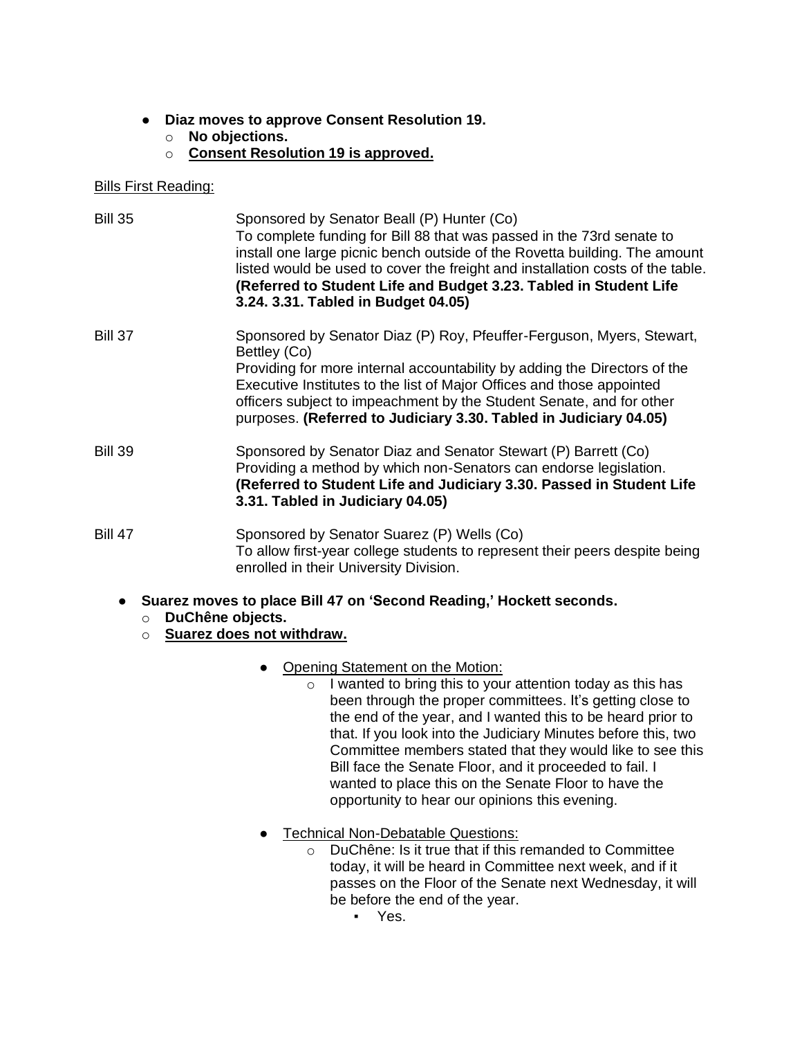- **Diaz moves to approve Consent Resolution 19.**
	- o **No objections.**
	- o **Consent Resolution 19 is approved.**

## Bills First Reading:

| <b>Bill 35</b>     | Sponsored by Senator Beall (P) Hunter (Co)<br>To complete funding for Bill 88 that was passed in the 73rd senate to<br>install one large picnic bench outside of the Rovetta building. The amount<br>listed would be used to cover the freight and installation costs of the table.<br>(Referred to Student Life and Budget 3.23. Tabled in Student Life<br>3.24. 3.31. Tabled in Budget 04.05) |
|--------------------|-------------------------------------------------------------------------------------------------------------------------------------------------------------------------------------------------------------------------------------------------------------------------------------------------------------------------------------------------------------------------------------------------|
| <b>Bill 37</b>     | Sponsored by Senator Diaz (P) Roy, Pfeuffer-Ferguson, Myers, Stewart,<br>Bettley (Co)<br>Providing for more internal accountability by adding the Directors of the<br>Executive Institutes to the list of Major Offices and those appointed<br>officers subject to impeachment by the Student Senate, and for other<br>purposes. (Referred to Judiciary 3.30. Tabled in Judiciary 04.05)        |
| <b>Bill 39</b>     | Sponsored by Senator Diaz and Senator Stewart (P) Barrett (Co)<br>Providing a method by which non-Senators can endorse legislation.<br>(Referred to Student Life and Judiciary 3.30. Passed in Student Life<br>3.31. Tabled in Judiciary 04.05)                                                                                                                                                 |
| <b>Bill 47</b>     | Sponsored by Senator Suarez (P) Wells (Co)<br>To allow first-year college students to represent their peers despite being<br>enrolled in their University Division.                                                                                                                                                                                                                             |
| $\circ$<br>$\circ$ | Suarez moves to place Bill 47 on 'Second Reading,' Hockett seconds.<br>DuChêne objects.<br>Suarez does not withdraw.                                                                                                                                                                                                                                                                            |
|                    | Opening Statement on the Motion:<br>$\bullet$<br>I wanted to bring this to your attention today as this has<br>$\Omega$<br>heen through the proper committees. It's getting close to                                                                                                                                                                                                            |

- been through the proper committees. It's getting close to the end of the year, and I wanted this to be heard prior to that. If you look into the Judiciary Minutes before this, two Committee members stated that they would like to see this Bill face the Senate Floor, and it proceeded to fail. I wanted to place this on the Senate Floor to have the opportunity to hear our opinions this evening.
- Technical Non-Debatable Questions:
	- o DuChêne: Is it true that if this remanded to Committee today, it will be heard in Committee next week, and if it passes on the Floor of the Senate next Wednesday, it will be before the end of the year.
		- Yes.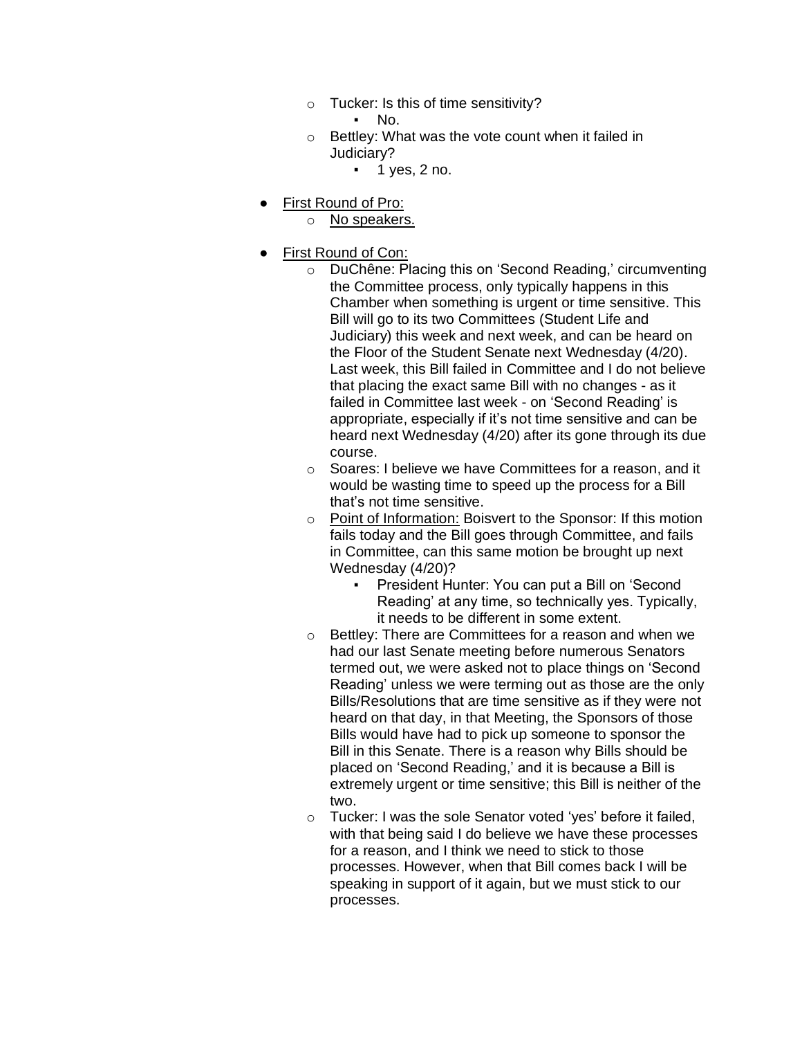- o Tucker: Is this of time sensitivity?
	- No.
- o Bettley: What was the vote count when it failed in Judiciary?
	- $\blacksquare$  1 yes, 2 no.
- First Round of Pro:
	- o No speakers.
- First Round of Con:
	- o DuChêne: Placing this on 'Second Reading,' circumventing the Committee process, only typically happens in this Chamber when something is urgent or time sensitive. This Bill will go to its two Committees (Student Life and Judiciary) this week and next week, and can be heard on the Floor of the Student Senate next Wednesday (4/20). Last week, this Bill failed in Committee and I do not believe that placing the exact same Bill with no changes - as it failed in Committee last week - on 'Second Reading' is appropriate, especially if it's not time sensitive and can be heard next Wednesday (4/20) after its gone through its due course.
	- o Soares: I believe we have Committees for a reason, and it would be wasting time to speed up the process for a Bill that's not time sensitive.
	- o Point of Information: Boisvert to the Sponsor: If this motion fails today and the Bill goes through Committee, and fails in Committee, can this same motion be brought up next Wednesday (4/20)?
		- President Hunter: You can put a Bill on 'Second Reading' at any time, so technically yes. Typically, it needs to be different in some extent.
	- o Bettley: There are Committees for a reason and when we had our last Senate meeting before numerous Senators termed out, we were asked not to place things on 'Second Reading' unless we were terming out as those are the only Bills/Resolutions that are time sensitive as if they were not heard on that day, in that Meeting, the Sponsors of those Bills would have had to pick up someone to sponsor the Bill in this Senate. There is a reason why Bills should be placed on 'Second Reading,' and it is because a Bill is extremely urgent or time sensitive; this Bill is neither of the two.
	- o Tucker: I was the sole Senator voted 'yes' before it failed, with that being said I do believe we have these processes for a reason, and I think we need to stick to those processes. However, when that Bill comes back I will be speaking in support of it again, but we must stick to our processes.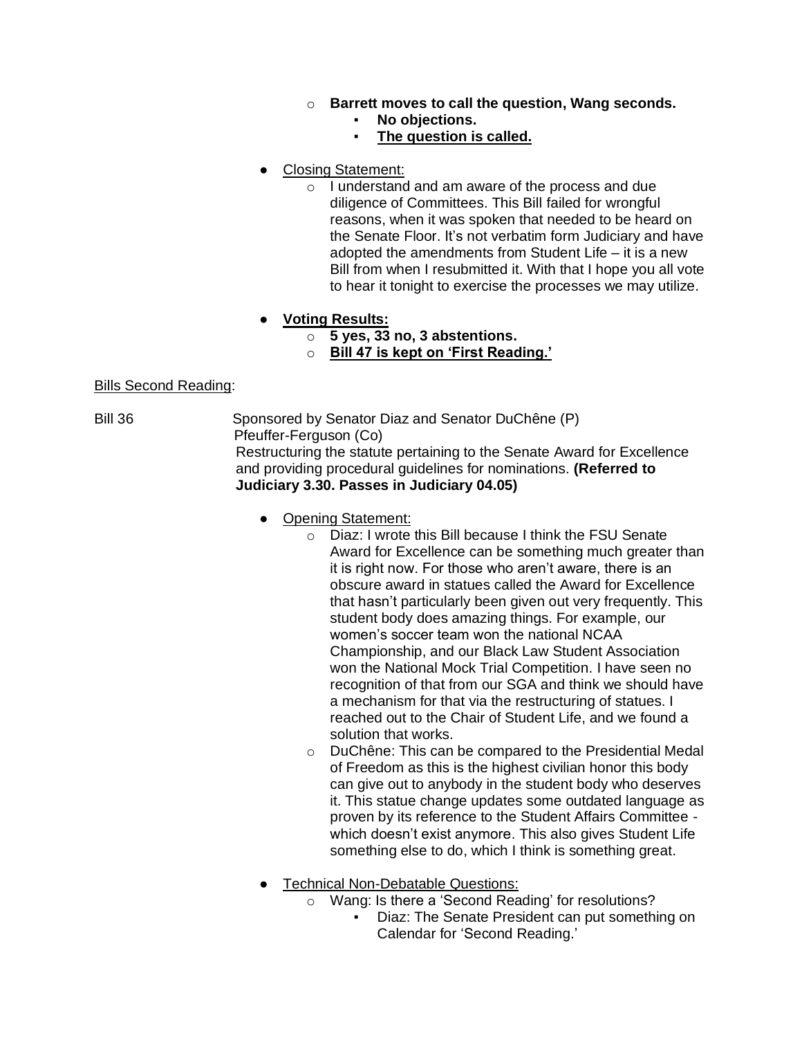- o **Barrett moves to call the question, Wang seconds.**
	- No objections.
	- **The question is called.**
- **Closing Statement:** 
	- o I understand and am aware of the process and due diligence of Committees. This Bill failed for wrongful reasons, when it was spoken that needed to be heard on the Senate Floor. It's not verbatim form Judiciary and have adopted the amendments from Student Life – it is a new Bill from when I resubmitted it. With that I hope you all vote to hear it tonight to exercise the processes we may utilize.
- **Voting Results:**
	- o **5 yes, 33 no, 3 abstentions.**
	- o **Bill 47 is kept on 'First Reading.'**

### Bills Second Reading:

Bill 36 Sponsored by Senator Diaz and Senator DuChêne (P) Pfeuffer-Ferguson (Co)

Restructuring the statute pertaining to the Senate Award for Excellence and providing procedural guidelines for nominations. **(Referred to Judiciary 3.30. Passes in Judiciary 04.05)**

- Opening Statement:
	- o Diaz: I wrote this Bill because I think the FSU Senate Award for Excellence can be something much greater than it is right now. For those who aren't aware, there is an obscure award in statues called the Award for Excellence that hasn't particularly been given out very frequently. This student body does amazing things. For example, our women's soccer team won the national NCAA Championship, and our Black Law Student Association won the National Mock Trial Competition. I have seen no recognition of that from our SGA and think we should have a mechanism for that via the restructuring of statues. I reached out to the Chair of Student Life, and we found a solution that works.
	- o DuChêne: This can be compared to the Presidential Medal of Freedom as this is the highest civilian honor this body can give out to anybody in the student body who deserves it. This statue change updates some outdated language as proven by its reference to the Student Affairs Committee which doesn't exist anymore. This also gives Student Life something else to do, which I think is something great.
- **•** Technical Non-Debatable Questions:
	- o Wang: Is there a 'Second Reading' for resolutions?
		- Diaz: The Senate President can put something on Calendar for 'Second Reading.'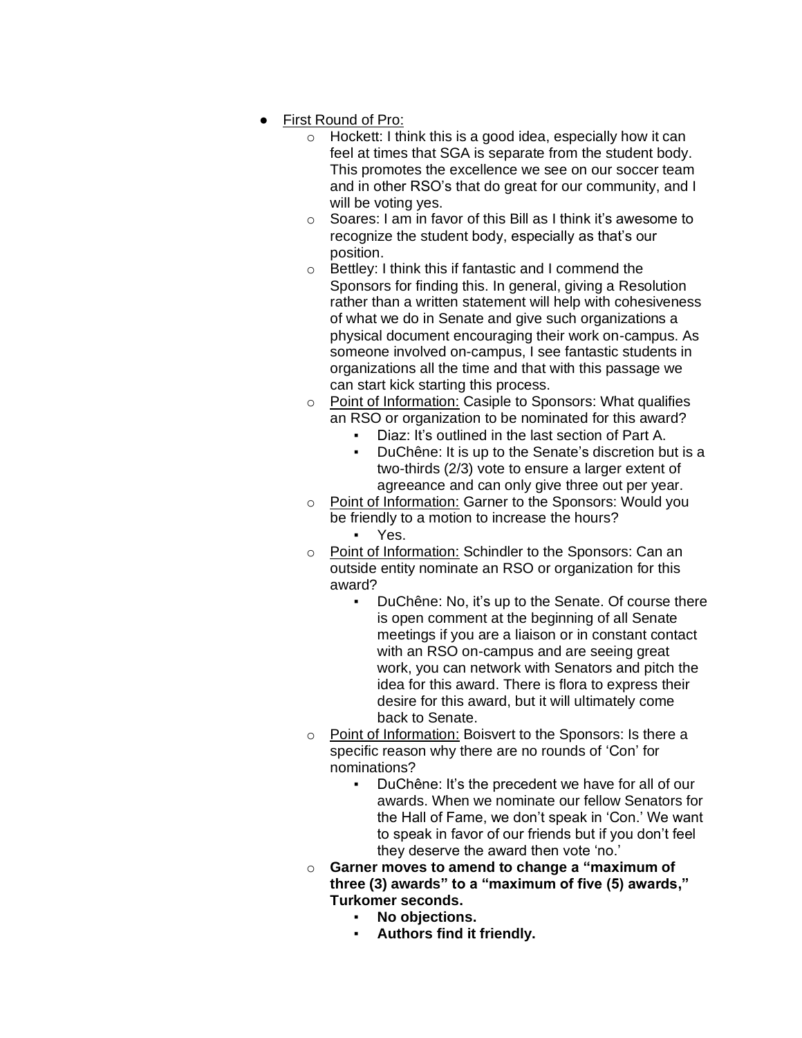- First Round of Pro:
	- $\circ$  Hockett: I think this is a good idea, especially how it can feel at times that SGA is separate from the student body. This promotes the excellence we see on our soccer team and in other RSO's that do great for our community, and I will be voting yes.
	- o Soares: I am in favor of this Bill as I think it's awesome to recognize the student body, especially as that's our position.
	- o Bettley: I think this if fantastic and I commend the Sponsors for finding this. In general, giving a Resolution rather than a written statement will help with cohesiveness of what we do in Senate and give such organizations a physical document encouraging their work on-campus. As someone involved on-campus, I see fantastic students in organizations all the time and that with this passage we can start kick starting this process.
	- o Point of Information: Casiple to Sponsors: What qualifies an RSO or organization to be nominated for this award?
		- Diaz: It's outlined in the last section of Part A.
		- DuChêne: It is up to the Senate's discretion but is a two-thirds (2/3) vote to ensure a larger extent of agreeance and can only give three out per year.
	- o Point of Information: Garner to the Sponsors: Would you be friendly to a motion to increase the hours? ▪ Yes.
	- o Point of Information: Schindler to the Sponsors: Can an outside entity nominate an RSO or organization for this award?
		- DuChêne: No, it's up to the Senate. Of course there is open comment at the beginning of all Senate meetings if you are a liaison or in constant contact with an RSO on-campus and are seeing great work, you can network with Senators and pitch the idea for this award. There is flora to express their desire for this award, but it will ultimately come back to Senate.
	- o Point of Information: Boisvert to the Sponsors: Is there a specific reason why there are no rounds of 'Con' for nominations?
		- DuChêne: It's the precedent we have for all of our awards. When we nominate our fellow Senators for the Hall of Fame, we don't speak in 'Con.' We want to speak in favor of our friends but if you don't feel they deserve the award then vote 'no.'
	- o **Garner moves to amend to change a "maximum of three (3) awards" to a "maximum of five (5) awards," Turkomer seconds.**
		- **No objections.**
		- **Authors find it friendly.**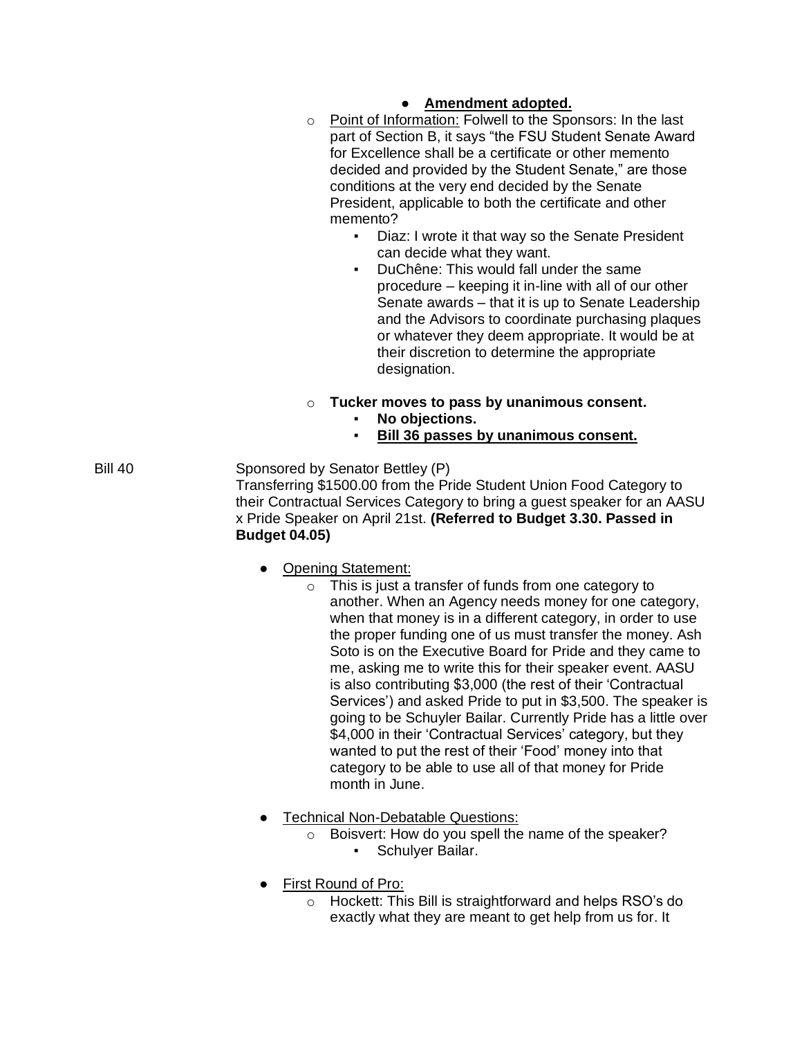## ● **Amendment adopted.**

- o Point of Information: Folwell to the Sponsors: In the last part of Section B, it says "the FSU Student Senate Award for Excellence shall be a certificate or other memento decided and provided by the Student Senate," are those conditions at the very end decided by the Senate President, applicable to both the certificate and other memento?
	- Diaz: I wrote it that way so the Senate President can decide what they want.
	- DuChêne: This would fall under the same procedure – keeping it in-line with all of our other Senate awards – that it is up to Senate Leadership and the Advisors to coordinate purchasing plaques or whatever they deem appropriate. It would be at their discretion to determine the appropriate designation.
- o **Tucker moves to pass by unanimous consent.**
	- **No objections.**
	- **Bill 36 passes by unanimous consent.**

Bill 40 Sponsored by Senator Bettley (P) Transferring \$1500.00 from the Pride Student Union Food Category to their Contractual Services Category to bring a guest speaker for an AASU x Pride Speaker on April 21st. **(Referred to Budget 3.30. Passed in Budget 04.05)**

- Opening Statement:
	- o This is just a transfer of funds from one category to another. When an Agency needs money for one category, when that money is in a different category, in order to use the proper funding one of us must transfer the money. Ash Soto is on the Executive Board for Pride and they came to me, asking me to write this for their speaker event. AASU is also contributing \$3,000 (the rest of their 'Contractual Services') and asked Pride to put in \$3,500. The speaker is going to be Schuyler Bailar. Currently Pride has a little over \$4,000 in their 'Contractual Services' category, but they wanted to put the rest of their 'Food' money into that category to be able to use all of that money for Pride month in June.
- **Technical Non-Debatable Questions:** 
	- o Boisvert: How do you spell the name of the speaker?
		- Schulyer Bailar.
- First Round of Pro:
	- o Hockett: This Bill is straightforward and helps RSO's do exactly what they are meant to get help from us for. It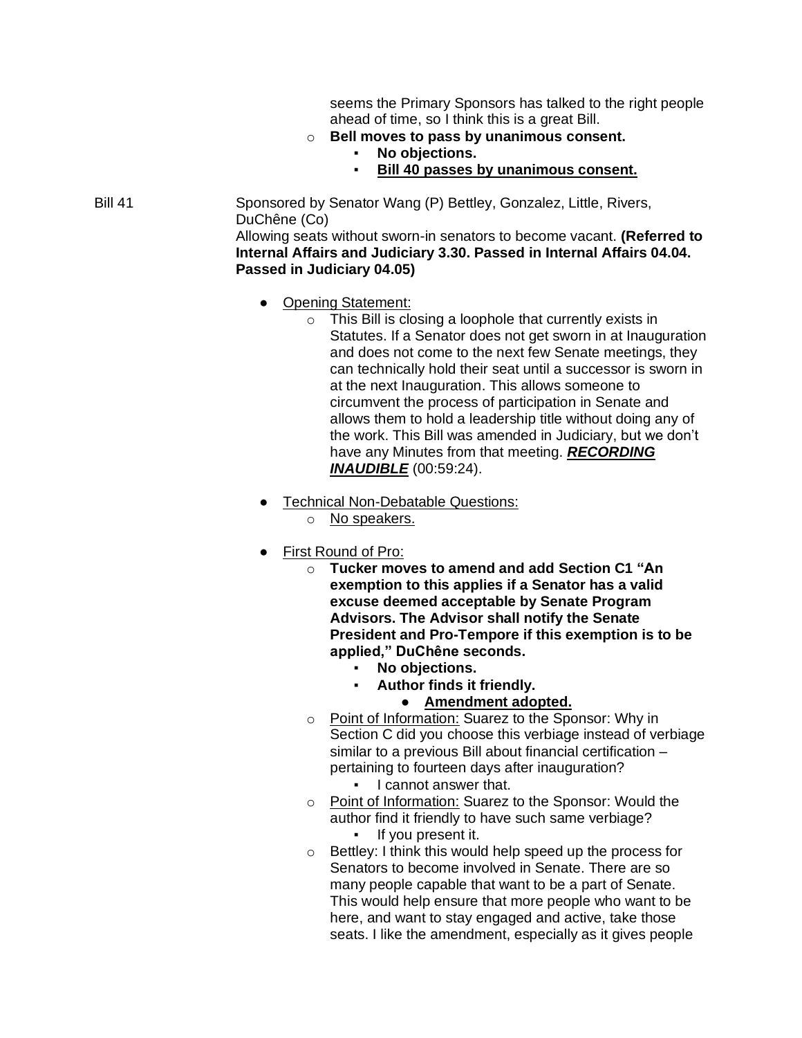seems the Primary Sponsors has talked to the right people ahead of time, so I think this is a great Bill.

- o **Bell moves to pass by unanimous consent.**
	- No objections.
	- **Bill 40 passes by unanimous consent.**

Bill 41 Sponsored by Senator Wang (P) Bettley, Gonzalez, Little, Rivers, DuChêne (Co) Allowing seats without sworn-in senators to become vacant. **(Referred to Internal Affairs and Judiciary 3.30. Passed in Internal Affairs 04.04.** 

• Opening Statement:

**Passed in Judiciary 04.05)**

- $\circ$  This Bill is closing a loophole that currently exists in Statutes. If a Senator does not get sworn in at Inauguration and does not come to the next few Senate meetings, they can technically hold their seat until a successor is sworn in at the next Inauguration. This allows someone to circumvent the process of participation in Senate and allows them to hold a leadership title without doing any of the work. This Bill was amended in Judiciary, but we don't have any Minutes from that meeting. *RECORDING INAUDIBLE* (00:59:24).
- **Technical Non-Debatable Questions:** 
	- o No speakers.
- First Round of Pro:
	- o **Tucker moves to amend and add Section C1 "An exemption to this applies if a Senator has a valid excuse deemed acceptable by Senate Program Advisors. The Advisor shall notify the Senate President and Pro-Tempore if this exemption is to be applied," DuChêne seconds.**
		- **No objections.**
		- **Author finds it friendly.**
			- **Amendment adopted.**
	- o Point of Information: Suarez to the Sponsor: Why in Section C did you choose this verbiage instead of verbiage similar to a previous Bill about financial certification – pertaining to fourteen days after inauguration?
		- I cannot answer that.
	- o Point of Information: Suarez to the Sponsor: Would the author find it friendly to have such same verbiage?
		- If you present it.
	- o Bettley: I think this would help speed up the process for Senators to become involved in Senate. There are so many people capable that want to be a part of Senate. This would help ensure that more people who want to be here, and want to stay engaged and active, take those seats. I like the amendment, especially as it gives people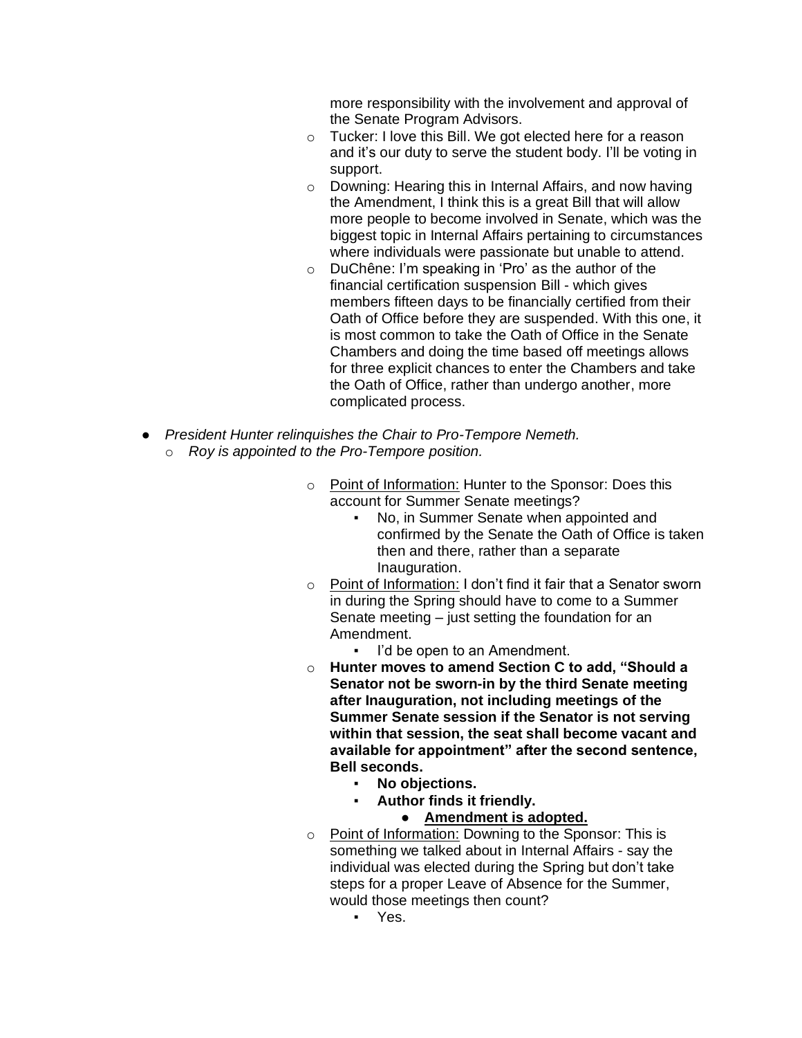more responsibility with the involvement and approval of the Senate Program Advisors.

- o Tucker: I love this Bill. We got elected here for a reason and it's our duty to serve the student body. I'll be voting in support.
- o Downing: Hearing this in Internal Affairs, and now having the Amendment, I think this is a great Bill that will allow more people to become involved in Senate, which was the biggest topic in Internal Affairs pertaining to circumstances where individuals were passionate but unable to attend.
- o DuChêne: I'm speaking in 'Pro' as the author of the financial certification suspension Bill - which gives members fifteen days to be financially certified from their Oath of Office before they are suspended. With this one, it is most common to take the Oath of Office in the Senate Chambers and doing the time based off meetings allows for three explicit chances to enter the Chambers and take the Oath of Office, rather than undergo another, more complicated process.
- *President Hunter relinquishes the Chair to Pro-Tempore Nemeth.* o *Roy is appointed to the Pro-Tempore position.*
	- o Point of Information: Hunter to the Sponsor: Does this account for Summer Senate meetings?
		- No, in Summer Senate when appointed and confirmed by the Senate the Oath of Office is taken then and there, rather than a separate Inauguration.
	- o Point of Information: I don't find it fair that a Senator sworn in during the Spring should have to come to a Summer Senate meeting – just setting the foundation for an Amendment.
		- I'd be open to an Amendment.
	- o **Hunter moves to amend Section C to add, "Should a Senator not be sworn-in by the third Senate meeting after Inauguration, not including meetings of the Summer Senate session if the Senator is not serving within that session, the seat shall become vacant and available for appointment" after the second sentence, Bell seconds.**
		- **No objections.**
		- **Author finds it friendly.**
			- **Amendment is adopted.**
	- o Point of Information: Downing to the Sponsor: This is something we talked about in Internal Affairs - say the individual was elected during the Spring but don't take steps for a proper Leave of Absence for the Summer, would those meetings then count?
		- Yes.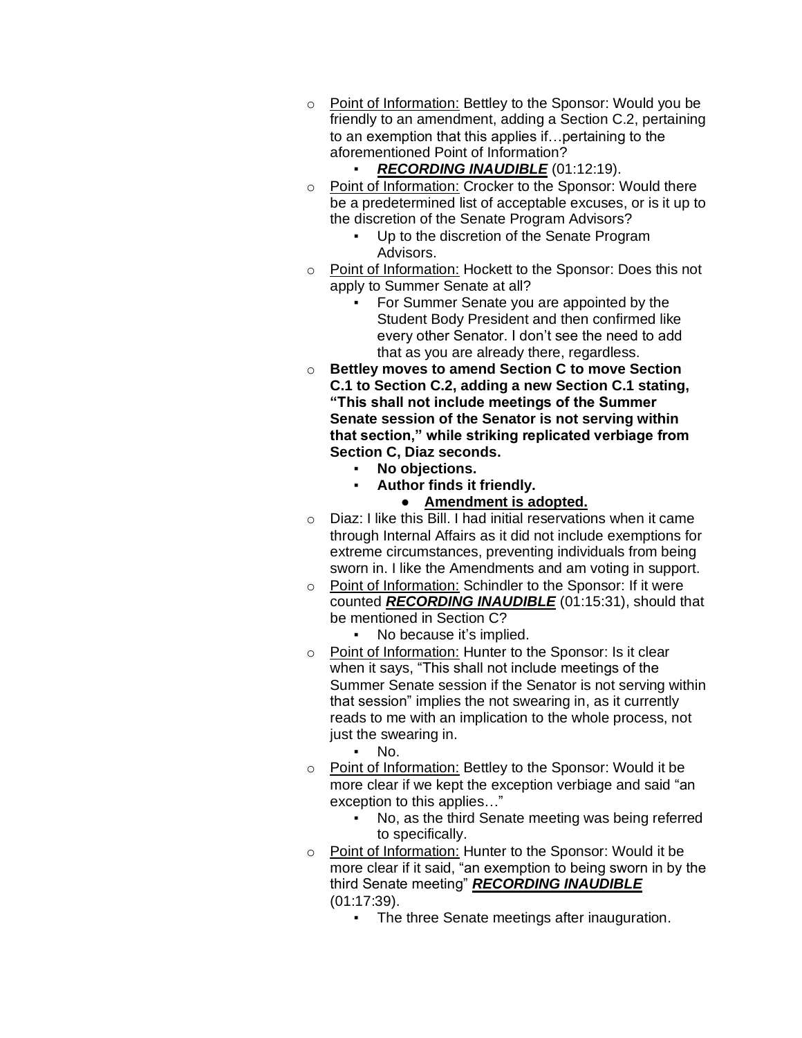- o Point of Information: Bettley to the Sponsor: Would you be friendly to an amendment, adding a Section C.2, pertaining to an exemption that this applies if…pertaining to the aforementioned Point of Information?
	- **RECORDING INAUDIBLE** (01:12:19).
- o Point of Information: Crocker to the Sponsor: Would there be a predetermined list of acceptable excuses, or is it up to the discretion of the Senate Program Advisors?
	- Up to the discretion of the Senate Program Advisors.
- o Point of Information: Hockett to the Sponsor: Does this not apply to Summer Senate at all?
	- For Summer Senate you are appointed by the Student Body President and then confirmed like every other Senator. I don't see the need to add that as you are already there, regardless.
- o **Bettley moves to amend Section C to move Section C.1 to Section C.2, adding a new Section C.1 stating, "This shall not include meetings of the Summer Senate session of the Senator is not serving within that section," while striking replicated verbiage from Section C, Diaz seconds.**
	- No objections.
		- **Author finds it friendly.**
			- **Amendment is adopted.**
- o Diaz: I like this Bill. I had initial reservations when it came through Internal Affairs as it did not include exemptions for extreme circumstances, preventing individuals from being sworn in. I like the Amendments and am voting in support.
- o Point of Information: Schindler to the Sponsor: If it were counted *RECORDING INAUDIBLE* (01:15:31), should that be mentioned in Section C?
	- No because it's implied.
- o Point of Information: Hunter to the Sponsor: Is it clear when it says, "This shall not include meetings of the Summer Senate session if the Senator is not serving within that session" implies the not swearing in, as it currently reads to me with an implication to the whole process, not just the swearing in.
	- $\blacksquare$  No.
- o Point of Information: Bettley to the Sponsor: Would it be more clear if we kept the exception verbiage and said "an exception to this applies…"
	- No, as the third Senate meeting was being referred to specifically.
- o Point of Information: Hunter to the Sponsor: Would it be more clear if it said, "an exemption to being sworn in by the third Senate meeting" *RECORDING INAUDIBLE* (01:17:39).
	- **The three Senate meetings after inauguration.**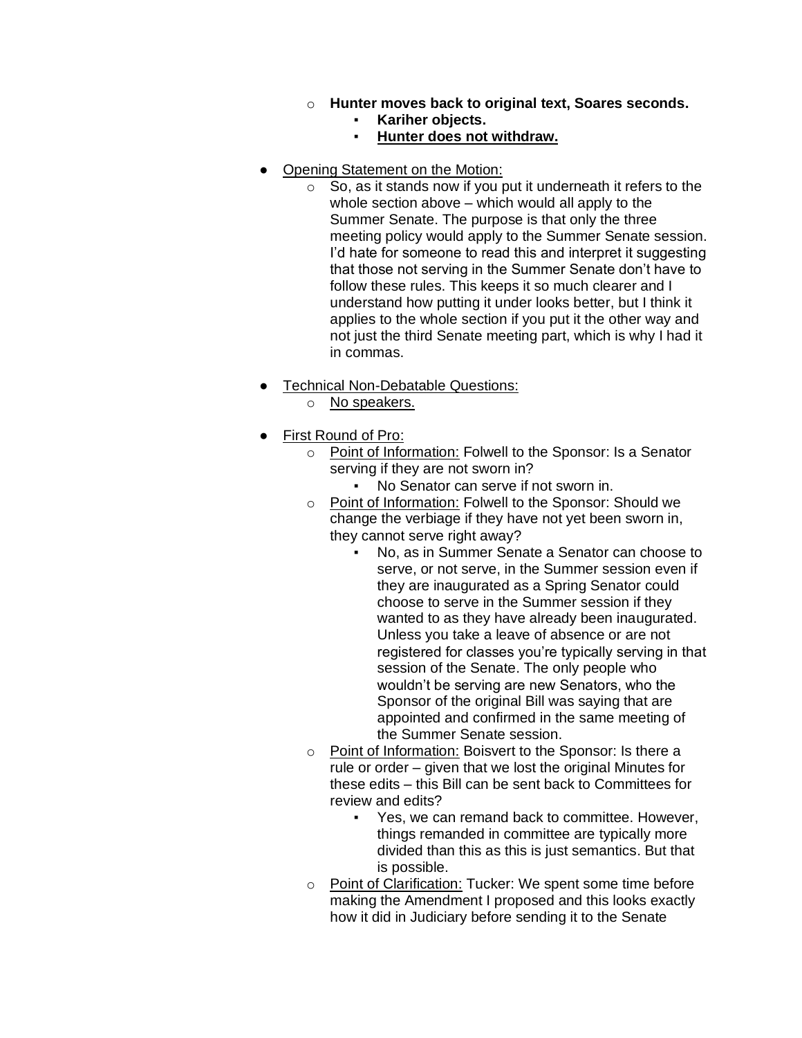- o **Hunter moves back to original text, Soares seconds.**
	- Kariher objects.
	- **Hunter does not withdraw.**
- Opening Statement on the Motion:
	- $\circ$  So, as it stands now if you put it underneath it refers to the whole section above – which would all apply to the Summer Senate. The purpose is that only the three meeting policy would apply to the Summer Senate session. I'd hate for someone to read this and interpret it suggesting that those not serving in the Summer Senate don't have to follow these rules. This keeps it so much clearer and I understand how putting it under looks better, but I think it applies to the whole section if you put it the other way and not just the third Senate meeting part, which is why I had it in commas.
- **Technical Non-Debatable Questions:** 
	- o No speakers.
- First Round of Pro:
	- o Point of Information: Folwell to the Sponsor: Is a Senator serving if they are not sworn in?
		- No Senator can serve if not sworn in.
	- o Point of Information: Folwell to the Sponsor: Should we change the verbiage if they have not yet been sworn in, they cannot serve right away?
		- No, as in Summer Senate a Senator can choose to serve, or not serve, in the Summer session even if they are inaugurated as a Spring Senator could choose to serve in the Summer session if they wanted to as they have already been inaugurated. Unless you take a leave of absence or are not registered for classes you're typically serving in that session of the Senate. The only people who wouldn't be serving are new Senators, who the Sponsor of the original Bill was saying that are appointed and confirmed in the same meeting of the Summer Senate session.
	- o Point of Information: Boisvert to the Sponsor: Is there a rule or order – given that we lost the original Minutes for these edits – this Bill can be sent back to Committees for review and edits?
		- Yes, we can remand back to committee. However, things remanded in committee are typically more divided than this as this is just semantics. But that is possible.
	- o Point of Clarification: Tucker: We spent some time before making the Amendment I proposed and this looks exactly how it did in Judiciary before sending it to the Senate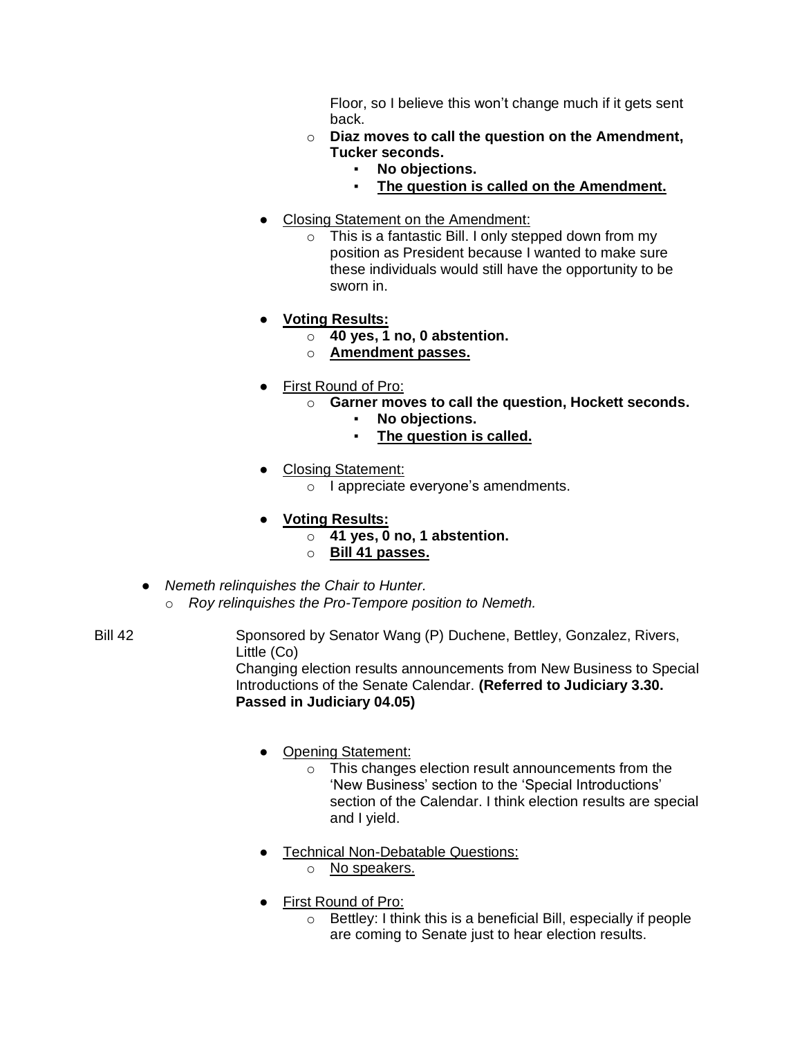Floor, so I believe this won't change much if it gets sent back.

- o **Diaz moves to call the question on the Amendment, Tucker seconds.**
	- **No objections.**
	- **The question is called on the Amendment.**
- Closing Statement on the Amendment:
	- o This is a fantastic Bill. I only stepped down from my position as President because I wanted to make sure these individuals would still have the opportunity to be sworn in.
- **Voting Results:**
	- o **40 yes, 1 no, 0 abstention.**
	- o **Amendment passes.**
- First Round of Pro:
	- o **Garner moves to call the question, Hockett seconds.**
		- **No objections.**
		- **The question is called.**
- Closing Statement:
	- o I appreciate everyone's amendments.
- **Voting Results:**
	- o **41 yes, 0 no, 1 abstention.**
	- o **Bill 41 passes.**
- *Nemeth relinquishes the Chair to Hunter.* o *Roy relinquishes the Pro-Tempore position to Nemeth.*
- 

Bill 42 Sponsored by Senator Wang (P) Duchene, Bettley, Gonzalez, Rivers, Little (Co) Changing election results announcements from New Business to Special Introductions of the Senate Calendar. **(Referred to Judiciary 3.30. Passed in Judiciary 04.05)**

- Opening Statement:
	- o This changes election result announcements from the 'New Business' section to the 'Special Introductions' section of the Calendar. I think election results are special and I yield.
- Technical Non-Debatable Questions:
	- o No speakers.
- First Round of Pro:
	- o Bettley: I think this is a beneficial Bill, especially if people are coming to Senate just to hear election results.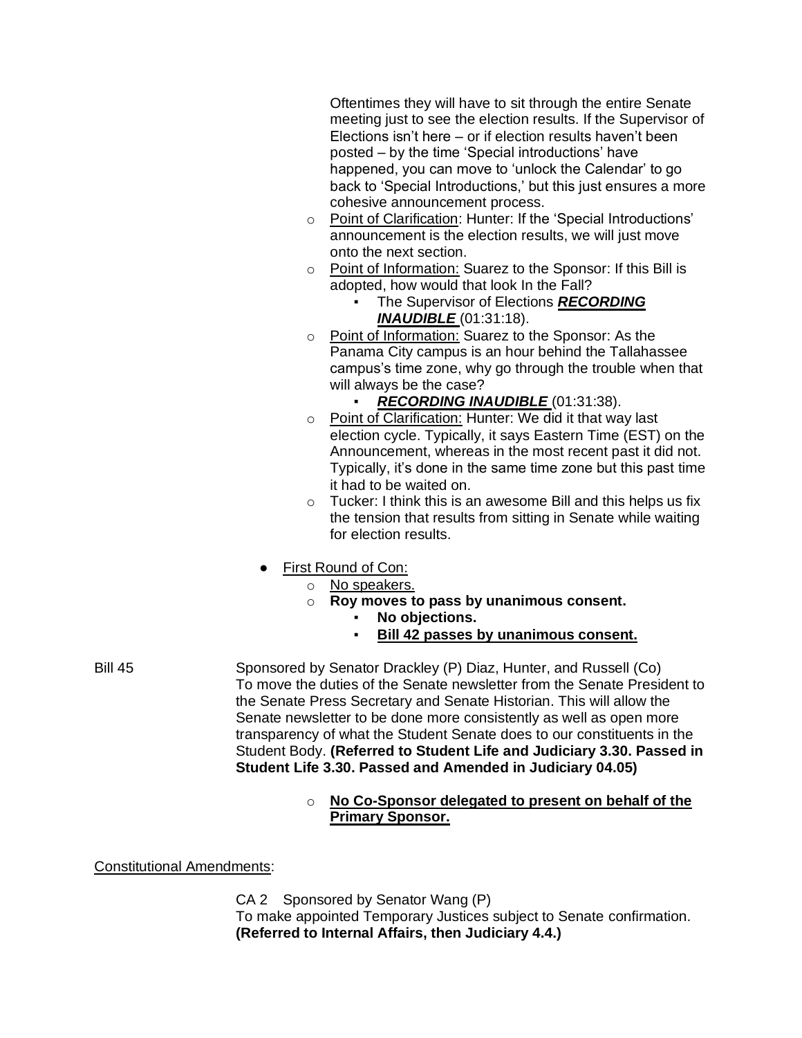Oftentimes they will have to sit through the entire Senate meeting just to see the election results. If the Supervisor of Elections isn't here – or if election results haven't been posted – by the time 'Special introductions' have happened, you can move to 'unlock the Calendar' to go back to 'Special Introductions,' but this just ensures a more cohesive announcement process.

- o Point of Clarification: Hunter: If the 'Special Introductions' announcement is the election results, we will just move onto the next section.
- o Point of Information: Suarez to the Sponsor: If this Bill is adopted, how would that look In the Fall?
	- **The Supervisor of Elections RECORDING** *INAUDIBLE* (01:31:18).
- o Point of Information: Suarez to the Sponsor: As the Panama City campus is an hour behind the Tallahassee campus's time zone, why go through the trouble when that will always be the case?
	- **RECORDING INAUDIBLE** (01:31:38).
- o Point of Clarification: Hunter: We did it that way last election cycle. Typically, it says Eastern Time (EST) on the Announcement, whereas in the most recent past it did not. Typically, it's done in the same time zone but this past time it had to be waited on.
- $\circ$  Tucker: I think this is an awesome Bill and this helps us fix the tension that results from sitting in Senate while waiting for election results.
- First Round of Con:
	- o No speakers.
	- o **Roy moves to pass by unanimous consent.**
		- No objections.
			- **Bill 42 passes by unanimous consent.**
- Bill 45 Sponsored by Senator Drackley (P) Diaz, Hunter, and Russell (Co) To move the duties of the Senate newsletter from the Senate President to the Senate Press Secretary and Senate Historian. This will allow the Senate newsletter to be done more consistently as well as open more transparency of what the Student Senate does to our constituents in the Student Body. **(Referred to Student Life and Judiciary 3.30. Passed in Student Life 3.30. Passed and Amended in Judiciary 04.05)**
	- o **No Co-Sponsor delegated to present on behalf of the Primary Sponsor.**

Constitutional Amendments:

CA 2 Sponsored by Senator Wang (P) To make appointed Temporary Justices subject to Senate confirmation. **(Referred to Internal Affairs, then Judiciary 4.4.)**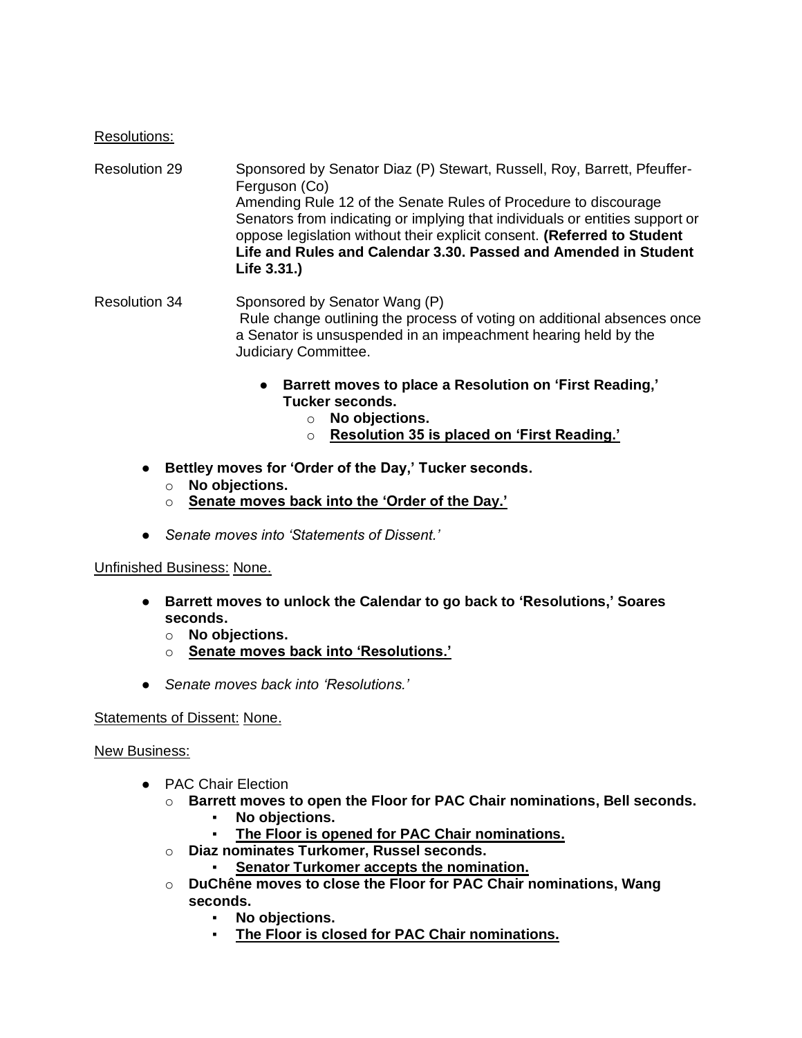### Resolutions:

Resolution 29 Sponsored by Senator Diaz (P) Stewart, Russell, Roy, Barrett, Pfeuffer-Ferguson (Co) Amending Rule 12 of the Senate Rules of Procedure to discourage Senators from indicating or implying that individuals or entities support or oppose legislation without their explicit consent. **(Referred to Student Life and Rules and Calendar 3.30. Passed and Amended in Student Life 3.31.)**

Resolution 34 Sponsored by Senator Wang (P) Rule change outlining the process of voting on additional absences once a Senator is unsuspended in an impeachment hearing held by the Judiciary Committee.

- **Barrett moves to place a Resolution on 'First Reading,' Tucker seconds.**
	- o **No objections.**
	- o **Resolution 35 is placed on 'First Reading.'**
- **Bettley moves for 'Order of the Day,' Tucker seconds.**
	- o **No objections.**
	- o **Senate moves back into the 'Order of the Day.'**
- *Senate moves into 'Statements of Dissent.'*

### Unfinished Business: None.

- **Barrett moves to unlock the Calendar to go back to 'Resolutions,' Soares seconds.**
	- o **No objections.**
	- o **Senate moves back into 'Resolutions.'**
- *Senate moves back into 'Resolutions.'*

### Statements of Dissent: None.

### New Business:

- PAC Chair Election
	- o **Barrett moves to open the Floor for PAC Chair nominations, Bell seconds.**
		- **No objections.**
		- **The Floor is opened for PAC Chair nominations.**
	- o **Diaz nominates Turkomer, Russel seconds.**
		- **Senator Turkomer accepts the nomination.**
	- o **DuChêne moves to close the Floor for PAC Chair nominations, Wang seconds.**
		- No objections.
		- The Floor is closed for PAC Chair nominations.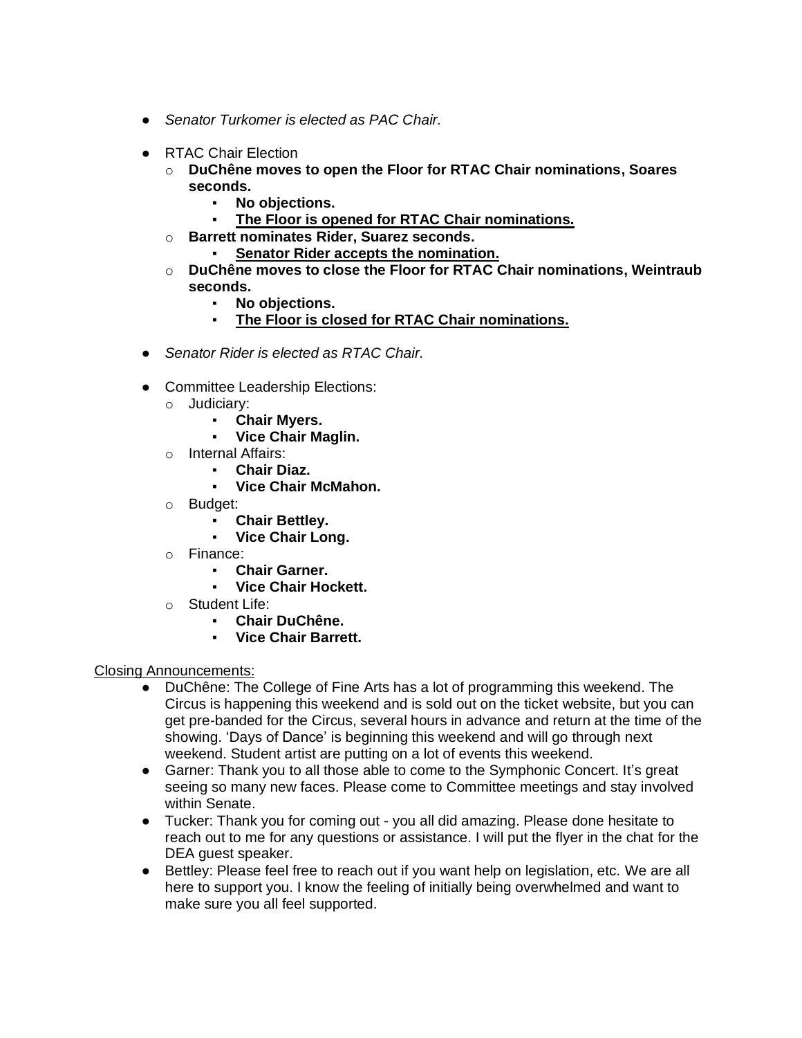- *Senator Turkomer is elected as PAC Chair.*
- RTAC Chair Election
	- o **DuChêne moves to open the Floor for RTAC Chair nominations, Soares seconds.**
		- No objections.
		- The Floor is opened for RTAC Chair nominations.
	- o **Barrett nominates Rider, Suarez seconds.**
		- **Senator Rider accepts the nomination.**
	- o **DuChêne moves to close the Floor for RTAC Chair nominations, Weintraub seconds.**
		- No objections.
		- **The Floor is closed for RTAC Chair nominations.**
- *Senator Rider is elected as RTAC Chair.*
- Committee Leadership Elections:
	- o Judiciary:
		- **Chair Myers.**
		- **Vice Chair Maglin.**
	- o Internal Affairs:
		- **Chair Diaz.**
		- **Vice Chair McMahon.**
	- o Budget:
		- **Chair Bettley.**
		- **Vice Chair Long.**
	- o Finance:
		- **Chair Garner.**
		- **Vice Chair Hockett.**
	- o Student Life:
		- **Chair DuChêne.**
		- **Vice Chair Barrett.**

### Closing Announcements:

- DuChêne: The College of Fine Arts has a lot of programming this weekend. The Circus is happening this weekend and is sold out on the ticket website, but you can get pre-banded for the Circus, several hours in advance and return at the time of the showing. 'Days of Dance' is beginning this weekend and will go through next weekend. Student artist are putting on a lot of events this weekend.
- Garner: Thank you to all those able to come to the Symphonic Concert. It's great seeing so many new faces. Please come to Committee meetings and stay involved within Senate.
- Tucker: Thank you for coming out you all did amazing. Please done hesitate to reach out to me for any questions or assistance. I will put the flyer in the chat for the DEA guest speaker.
- Bettley: Please feel free to reach out if you want help on legislation, etc. We are all here to support you. I know the feeling of initially being overwhelmed and want to make sure you all feel supported.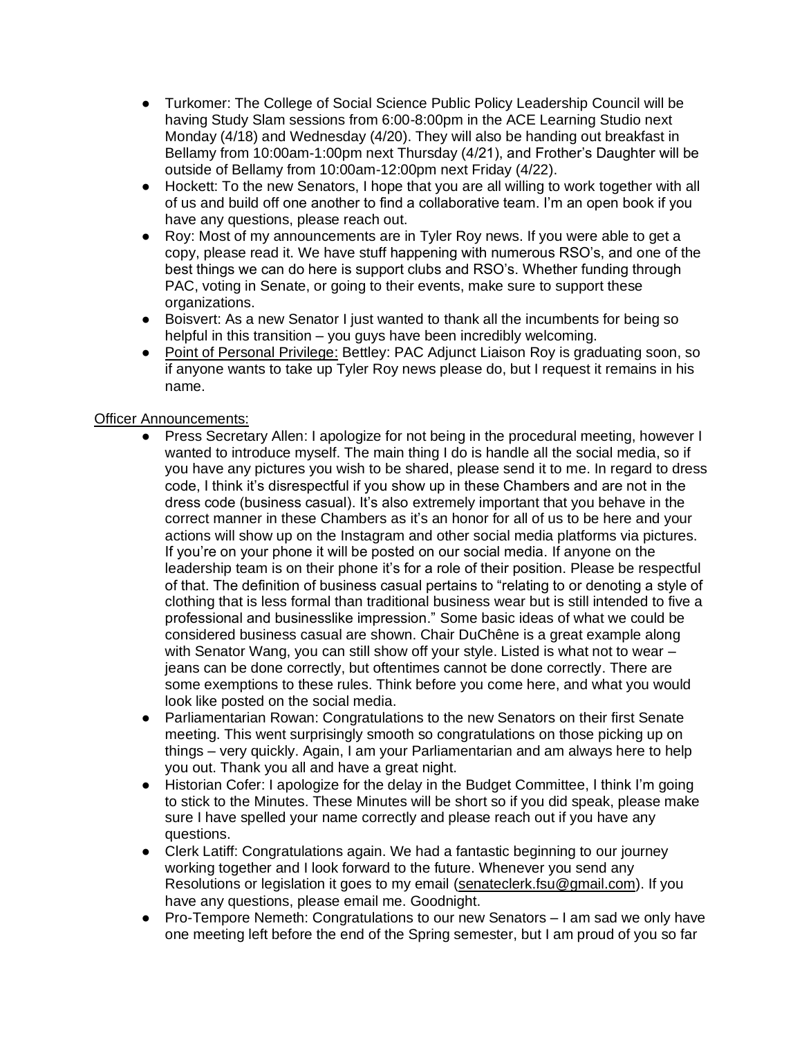- Turkomer: The College of Social Science Public Policy Leadership Council will be having Study Slam sessions from 6:00-8:00pm in the ACE Learning Studio next Monday (4/18) and Wednesday (4/20). They will also be handing out breakfast in Bellamy from 10:00am-1:00pm next Thursday (4/21), and Frother's Daughter will be outside of Bellamy from 10:00am-12:00pm next Friday (4/22).
- Hockett: To the new Senators, I hope that you are all willing to work together with all of us and build off one another to find a collaborative team. I'm an open book if you have any questions, please reach out.
- Roy: Most of my announcements are in Tyler Roy news. If you were able to get a copy, please read it. We have stuff happening with numerous RSO's, and one of the best things we can do here is support clubs and RSO's. Whether funding through PAC, voting in Senate, or going to their events, make sure to support these organizations.
- Boisvert: As a new Senator I just wanted to thank all the incumbents for being so helpful in this transition – you guys have been incredibly welcoming.
- Point of Personal Privilege: Bettley: PAC Adjunct Liaison Roy is graduating soon, so if anyone wants to take up Tyler Roy news please do, but I request it remains in his name.

## Officer Announcements:

- Press Secretary Allen: I apologize for not being in the procedural meeting, however I wanted to introduce myself. The main thing I do is handle all the social media, so if you have any pictures you wish to be shared, please send it to me. In regard to dress code, I think it's disrespectful if you show up in these Chambers and are not in the dress code (business casual). It's also extremely important that you behave in the correct manner in these Chambers as it's an honor for all of us to be here and your actions will show up on the Instagram and other social media platforms via pictures. If you're on your phone it will be posted on our social media. If anyone on the leadership team is on their phone it's for a role of their position. Please be respectful of that. The definition of business casual pertains to "relating to or denoting a style of clothing that is less formal than traditional business wear but is still intended to five a professional and businesslike impression." Some basic ideas of what we could be considered business casual are shown. Chair DuChêne is a great example along with Senator Wang, you can still show off your style. Listed is what not to wear – jeans can be done correctly, but oftentimes cannot be done correctly. There are some exemptions to these rules. Think before you come here, and what you would look like posted on the social media.
- Parliamentarian Rowan: Congratulations to the new Senators on their first Senate meeting. This went surprisingly smooth so congratulations on those picking up on things – very quickly. Again, I am your Parliamentarian and am always here to help you out. Thank you all and have a great night.
- Historian Cofer: I apologize for the delay in the Budget Committee, I think I'm going to stick to the Minutes. These Minutes will be short so if you did speak, please make sure I have spelled your name correctly and please reach out if you have any questions.
- Clerk Latiff: Congratulations again. We had a fantastic beginning to our journey working together and I look forward to the future. Whenever you send any Resolutions or legislation it goes to my email [\(senateclerk.fsu@gmail.com\)](mailto:senateclerk.fsu@gmail.com). If you have any questions, please email me. Goodnight.
- Pro-Tempore Nemeth: Congratulations to our new Senators I am sad we only have one meeting left before the end of the Spring semester, but I am proud of you so far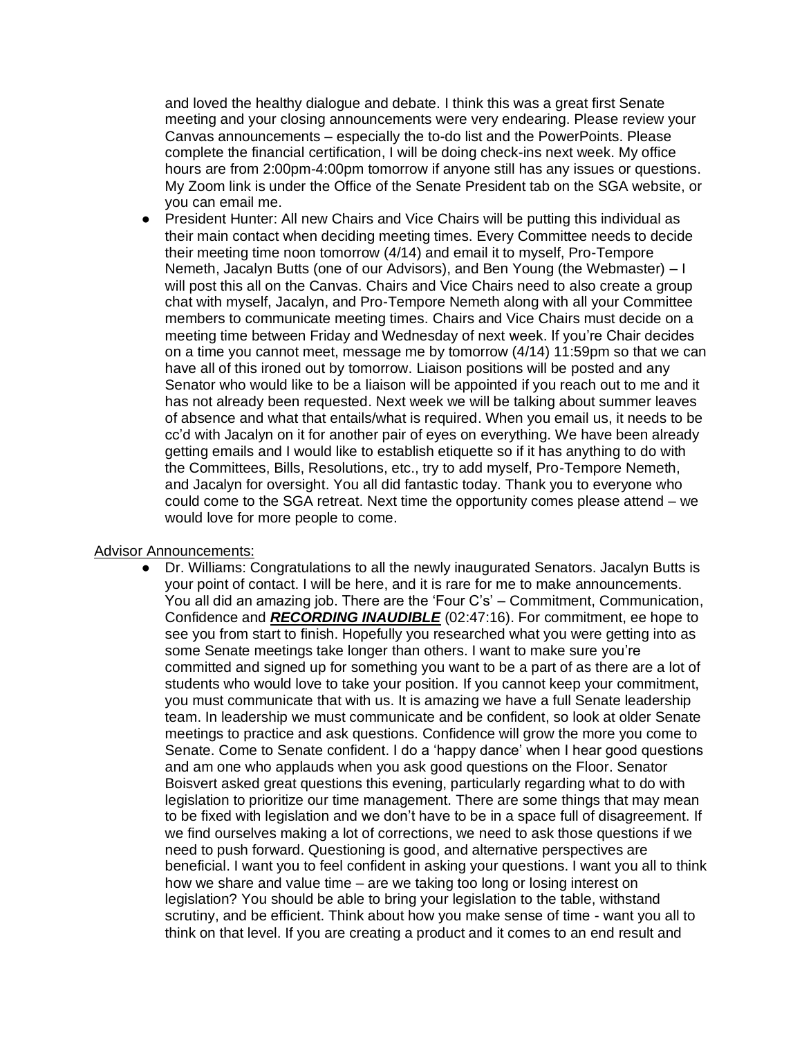and loved the healthy dialogue and debate. I think this was a great first Senate meeting and your closing announcements were very endearing. Please review your Canvas announcements – especially the to-do list and the PowerPoints. Please complete the financial certification, I will be doing check-ins next week. My office hours are from 2:00pm-4:00pm tomorrow if anyone still has any issues or questions. My Zoom link is under the Office of the Senate President tab on the SGA website, or you can email me.

President Hunter: All new Chairs and Vice Chairs will be putting this individual as their main contact when deciding meeting times. Every Committee needs to decide their meeting time noon tomorrow (4/14) and email it to myself, Pro-Tempore Nemeth, Jacalyn Butts (one of our Advisors), and Ben Young (the Webmaster) – I will post this all on the Canvas. Chairs and Vice Chairs need to also create a group chat with myself, Jacalyn, and Pro-Tempore Nemeth along with all your Committee members to communicate meeting times. Chairs and Vice Chairs must decide on a meeting time between Friday and Wednesday of next week. If you're Chair decides on a time you cannot meet, message me by tomorrow (4/14) 11:59pm so that we can have all of this ironed out by tomorrow. Liaison positions will be posted and any Senator who would like to be a liaison will be appointed if you reach out to me and it has not already been requested. Next week we will be talking about summer leaves of absence and what that entails/what is required. When you email us, it needs to be cc'd with Jacalyn on it for another pair of eyes on everything. We have been already getting emails and I would like to establish etiquette so if it has anything to do with the Committees, Bills, Resolutions, etc., try to add myself, Pro-Tempore Nemeth, and Jacalyn for oversight. You all did fantastic today. Thank you to everyone who could come to the SGA retreat. Next time the opportunity comes please attend – we would love for more people to come.

### Advisor Announcements:

● Dr. Williams: Congratulations to all the newly inaugurated Senators. Jacalyn Butts is your point of contact. I will be here, and it is rare for me to make announcements. You all did an amazing job. There are the 'Four C's' – Commitment, Communication, Confidence and *RECORDING INAUDIBLE* (02:47:16). For commitment, ee hope to see you from start to finish. Hopefully you researched what you were getting into as some Senate meetings take longer than others. I want to make sure you're committed and signed up for something you want to be a part of as there are a lot of students who would love to take your position. If you cannot keep your commitment, you must communicate that with us. It is amazing we have a full Senate leadership team. In leadership we must communicate and be confident, so look at older Senate meetings to practice and ask questions. Confidence will grow the more you come to Senate. Come to Senate confident. I do a 'happy dance' when I hear good questions and am one who applauds when you ask good questions on the Floor. Senator Boisvert asked great questions this evening, particularly regarding what to do with legislation to prioritize our time management. There are some things that may mean to be fixed with legislation and we don't have to be in a space full of disagreement. If we find ourselves making a lot of corrections, we need to ask those questions if we need to push forward. Questioning is good, and alternative perspectives are beneficial. I want you to feel confident in asking your questions. I want you all to think how we share and value time – are we taking too long or losing interest on legislation? You should be able to bring your legislation to the table, withstand scrutiny, and be efficient. Think about how you make sense of time - want you all to think on that level. If you are creating a product and it comes to an end result and